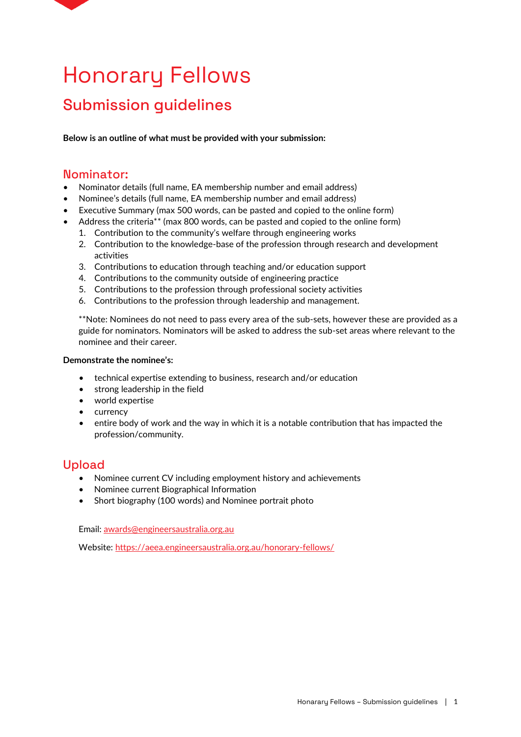

# Honorary Fellows

## Submission guidelines

**Below is an outline of what must be provided with your submission:**

#### Nominator:

- Nominator details (full name, EA membership number and email address)
- Nominee's details (full name, EA membership number and email address)
- Executive Summary (max 500 words, can be pasted and copied to the online form)
- Address the criteria\*\* (max 800 words, can be pasted and copied to the online form)
	- 1. Contribution to the community's welfare through engineering works
	- 2. Contribution to the knowledge-base of the profession through research and development activities
	- 3. Contributions to education through teaching and/or education support
	- 4. Contributions to the community outside of engineering practice
	- 5. Contributions to the profession through professional society activities
	- 6. Contributions to the profession through leadership and management.

\*\*Note: Nominees do not need to pass every area of the sub-sets, however these are provided as a guide for nominators. Nominators will be asked to address the sub-set areas where relevant to the nominee and their career.

#### **Demonstrate the nominee's:**

- technical expertise extending to business, research and/or education
- strong leadership in the field
- world expertise
- currency
- entire body of work and the way in which it is a notable contribution that has impacted the profession/community.

### Upload

- Nominee current CV including employment history and achievements
- Nominee current Biographical Information
- Short biography (100 words) and Nominee portrait photo

Email[: awards@engineersaustralia.org.au](mailto:awards@engineersaustralia.org.au)

Website: https://aeea.engineersaustralia.org.au/honorary-fellows/